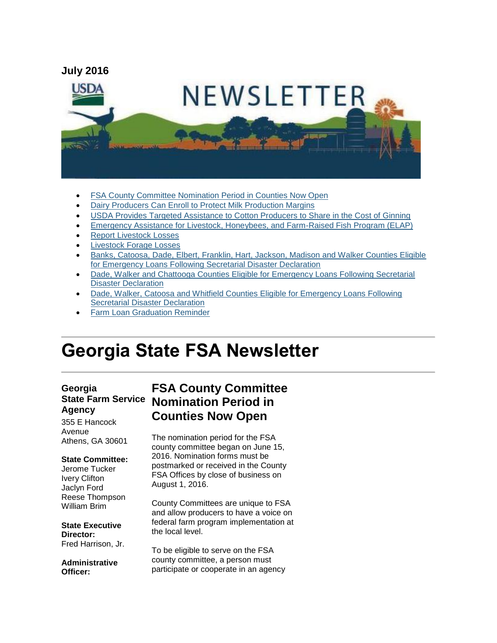

- [FSA County Committee Nomination Period in Counties Now Open](#page-0-0)
- [Dairy Producers Can Enroll to Protect Milk Production Margins](#page-1-0)
- [USDA Provides Targeted Assistance to Cotton Producers to Share in the Cost of Ginning](#page-2-0)
- [Emergency Assistance for Livestock, Honeybees, and Farm-Raised Fish Program \(ELAP\)](#page-3-0)
- [Report Livestock Losses](#page-4-0)
- **•** Livestock Forage Losses
- [Banks, Catoosa, Dade, Elbert, Franklin, Hart, Jackson, Madison and Walker Counties Eligible](#page-5-0)  [for Emergency Loans Following Secretarial Disaster Declaration](#page-5-0)
- [Dade, Walker and Chattooga Counties Eligible for Emergency Loans Following Secretarial](#page-5-1)  [Disaster Declaration](#page-5-1)
- [Dade, Walker, Catoosa and Whitfield Counties Eligible for Emergency Loans Following](#page-6-0)  [Secretarial Disaster Declaration](#page-6-0)
- [Farm Loan Graduation Reminder](#page-6-1)

# **Georgia State FSA Newsletter**

## **Georgia Agency**

355 E Hancock Avenue Athens, GA 30601

#### **State Committee:**

Jerome Tucker Ivery Clifton Jaclyn Ford Reese Thompson William Brim

#### **State Executive Director:**

Fred Harrison, Jr.

**Administrative Officer:**

### **State Farm Service Nomination Period in FSA County Committee Counties Now Open**

<span id="page-0-0"></span>The nomination period for the FSA county committee began on June 15, 2016. Nomination forms must be postmarked or received in the County FSA Offices by close of business on August 1, 2016.

County Committees are unique to FSA and allow producers to have a voice on federal farm program implementation at the local level.

To be eligible to serve on the FSA county committee, a person must participate or cooperate in an agency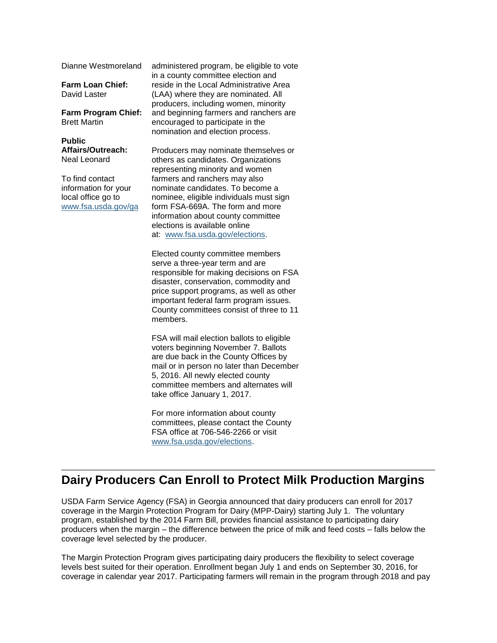Dianne Westmoreland

**Farm Loan Chief:** David Laster

#### **Farm Program Chief:** Brett Martin

**Public Affairs/Outreach:** Neal Leonard

To find contact information for your local office go to [www.fsa.usda.gov/ga](http://www.fsa.usda.gov/ga) administered program, be eligible to vote in a county committee election and reside in the Local Administrative Area (LAA) where they are nominated. All producers, including women, minority and beginning farmers and ranchers are encouraged to participate in the nomination and election process.

Producers may nominate themselves or others as candidates. Organizations representing minority and women farmers and ranchers may also nominate candidates. To become a nominee, eligible individuals must sign form FSA-669A. The form and more information about county committee elections is available online at: [www.fsa.usda.gov/elections.](http://www.fsa.usda.gov/elections)

Elected county committee members serve a three-year term and are responsible for making decisions on FSA disaster, conservation, commodity and price support programs, as well as other important federal farm program issues. County committees consist of three to 11 members.

FSA will mail election ballots to eligible voters beginning November 7. Ballots are due back in the County Offices by mail or in person no later than December 5, 2016. All newly elected county committee members and alternates will take office January 1, 2017.

For more information about county committees, please contact the County FSA office at 706-546-2266 or visit [www.fsa.usda.gov/elections.](http://www.fsa.usda.gov/elections)

### <span id="page-1-0"></span>**Dairy Producers Can Enroll to Protect Milk Production Margins**

USDA Farm Service Agency (FSA) in Georgia announced that dairy producers can enroll for 2017 coverage in the Margin Protection Program for Dairy (MPP-Dairy) starting July 1. The voluntary program, established by the 2014 Farm Bill, provides financial assistance to participating dairy producers when the margin – the difference between the price of milk and feed costs – falls below the coverage level selected by the producer.

The Margin Protection Program gives participating dairy producers the flexibility to select coverage levels best suited for their operation. Enrollment began July 1 and ends on September 30, 2016, for coverage in calendar year 2017. Participating farmers will remain in the program through 2018 and pay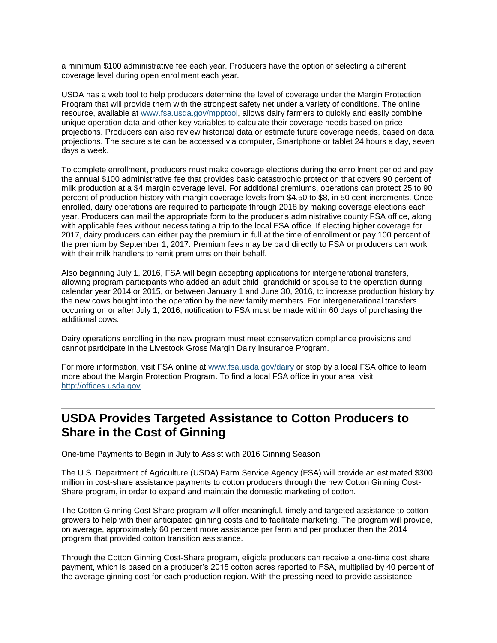a minimum \$100 administrative fee each year. Producers have the option of selecting a different coverage level during open enrollment each year.

USDA has a web tool to help producers determine the level of coverage under the Margin Protection Program that will provide them with the strongest safety net under a variety of conditions. The online resource, available at [www.fsa.usda.gov/mpptool,](http://www.fsa.usda.gov/mpptool) allows dairy farmers to quickly and easily combine unique operation data and other key variables to calculate their coverage needs based on price projections. Producers can also review historical data or estimate future coverage needs, based on data projections. The secure site can be accessed via computer, Smartphone or tablet 24 hours a day, seven days a week.

To complete enrollment, producers must make coverage elections during the enrollment period and pay the annual \$100 administrative fee that provides basic catastrophic protection that covers 90 percent of milk production at a \$4 margin coverage level. For additional premiums, operations can protect 25 to 90 percent of production history with margin coverage levels from \$4.50 to \$8, in 50 cent increments. Once enrolled, dairy operations are required to participate through 2018 by making coverage elections each year. Producers can mail the appropriate form to the producer's administrative county FSA office, along with applicable fees without necessitating a trip to the local FSA office. If electing higher coverage for 2017, dairy producers can either pay the premium in full at the time of enrollment or pay 100 percent of the premium by September 1, 2017. Premium fees may be paid directly to FSA or producers can work with their milk handlers to remit premiums on their behalf.

Also beginning July 1, 2016, FSA will begin accepting applications for intergenerational transfers, allowing program participants who added an adult child, grandchild or spouse to the operation during calendar year 2014 or 2015, or between January 1 and June 30, 2016, to increase production history by the new cows bought into the operation by the new family members. For intergenerational transfers occurring on or after July 1, 2016, notification to FSA must be made within 60 days of purchasing the additional cows.

Dairy operations enrolling in the new program must meet conservation compliance provisions and cannot participate in the Livestock Gross Margin Dairy Insurance Program.

For more information, visit FSA online at [www.fsa.usda.gov/dairy](http://www.fsa.usda.gov/dairy) or stop by a local FSA office to learn more about the Margin Protection Program. To find a local FSA office in your area, visit [http://offices.usda.gov.](http://offices.usda.gov/)

### <span id="page-2-0"></span>**USDA Provides Targeted Assistance to Cotton Producers to Share in the Cost of Ginning**

One-time Payments to Begin in July to Assist with 2016 Ginning Season

The U.S. Department of Agriculture (USDA) Farm Service Agency (FSA) will provide an estimated \$300 million in cost-share assistance payments to cotton producers through the new Cotton Ginning Cost-Share program, in order to expand and maintain the domestic marketing of cotton.

The Cotton Ginning Cost Share program will offer meaningful, timely and targeted assistance to cotton growers to help with their anticipated ginning costs and to facilitate marketing. The program will provide, on average, approximately 60 percent more assistance per farm and per producer than the 2014 program that provided cotton transition assistance.

Through the Cotton Ginning Cost-Share program, eligible producers can receive a one-time cost share payment, which is based on a producer's 2015 cotton acres reported to FSA, multiplied by 40 percent of the average ginning cost for each production region. With the pressing need to provide assistance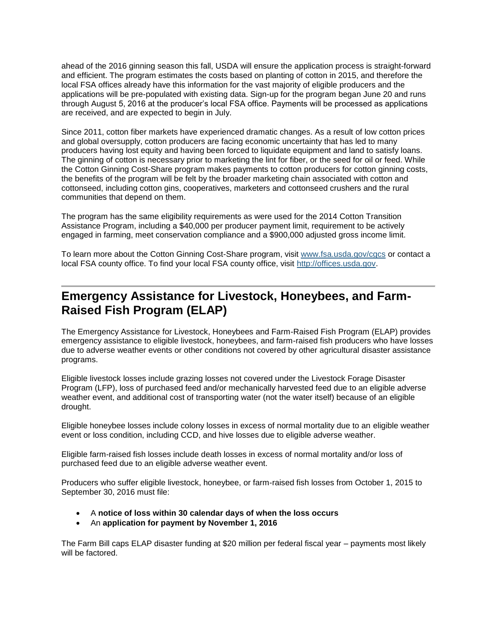ahead of the 2016 ginning season this fall, USDA will ensure the application process is straight-forward and efficient. The program estimates the costs based on planting of cotton in 2015, and therefore the local FSA offices already have this information for the vast majority of eligible producers and the applications will be pre-populated with existing data. Sign-up for the program began June 20 and runs through August 5, 2016 at the producer's local FSA office. Payments will be processed as applications are received, and are expected to begin in July.

Since 2011, cotton fiber markets have experienced dramatic changes. As a result of low cotton prices and global oversupply, cotton producers are facing economic uncertainty that has led to many producers having lost equity and having been forced to liquidate equipment and land to satisfy loans. The ginning of cotton is necessary prior to marketing the lint for fiber, or the seed for oil or feed. While the Cotton Ginning Cost-Share program makes payments to cotton producers for cotton ginning costs, the benefits of the program will be felt by the broader marketing chain associated with cotton and cottonseed, including cotton gins, cooperatives, marketers and cottonseed crushers and the rural communities that depend on them.

The program has the same eligibility requirements as were used for the 2014 Cotton Transition Assistance Program, including a \$40,000 per producer payment limit, requirement to be actively engaged in farming, meet conservation compliance and a \$900,000 adjusted gross income limit.

To learn more about the Cotton Ginning Cost-Share program, visit [www.fsa.usda.gov/cgcs](http://www.fsa.usda.gov/cgcs) or contact a local FSA county office. To find your local FSA county office, visit [http://offices.usda.gov.](http://offices.usda.gov/)

#### <span id="page-3-0"></span>**Emergency Assistance for Livestock, Honeybees, and Farm-Raised Fish Program (ELAP)**

The Emergency Assistance for Livestock, Honeybees and Farm-Raised Fish Program (ELAP) provides emergency assistance to eligible livestock, honeybees, and farm-raised fish producers who have losses due to adverse weather events or other conditions not covered by other agricultural disaster assistance programs.

Eligible livestock losses include grazing losses not covered under the Livestock Forage Disaster Program (LFP), loss of purchased feed and/or mechanically harvested feed due to an eligible adverse weather event, and additional cost of transporting water (not the water itself) because of an eligible drought.

Eligible honeybee losses include colony losses in excess of normal mortality due to an eligible weather event or loss condition, including CCD, and hive losses due to eligible adverse weather.

Eligible farm-raised fish losses include death losses in excess of normal mortality and/or loss of purchased feed due to an eligible adverse weather event.

Producers who suffer eligible livestock, honeybee, or farm-raised fish losses from October 1, 2015 to September 30, 2016 must file:

- A **notice of loss within 30 calendar days of when the loss occurs**
- An **application for payment by November 1, 2016**

The Farm Bill caps ELAP disaster funding at \$20 million per federal fiscal year – payments most likely will be factored.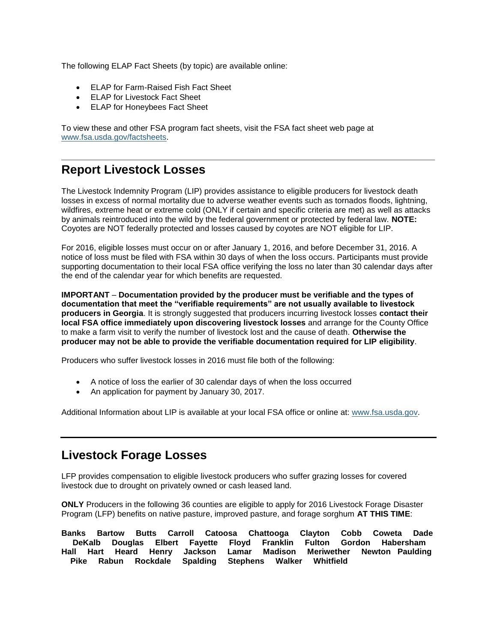The following ELAP Fact Sheets (by topic) are available online:

- ELAP for Farm-Raised Fish Fact Sheet
- ELAP for Livestock Fact Sheet
- ELAP for Honeybees Fact Sheet

To view these and other FSA program fact sheets, visit the FSA fact sheet web page at [www.fsa.usda.gov/factsheets.](http://www.fsa.usda.gov/factsheets)

### <span id="page-4-0"></span>**Report Livestock Losses**

The Livestock Indemnity Program (LIP) provides assistance to eligible producers for livestock death losses in excess of normal mortality due to adverse weather events such as tornados floods, lightning, wildfires, extreme heat or extreme cold (ONLY if certain and specific criteria are met) as well as attacks by animals reintroduced into the wild by the federal government or protected by federal law. **NOTE:** Coyotes are NOT federally protected and losses caused by coyotes are NOT eligible for LIP.

For 2016, eligible losses must occur on or after January 1, 2016, and before December 31, 2016. A notice of loss must be filed with FSA within 30 days of when the loss occurs. Participants must provide supporting documentation to their local FSA office verifying the loss no later than 30 calendar days after the end of the calendar year for which benefits are requested.

**IMPORTANT** – **Documentation provided by the producer must be verifiable and the types of documentation that meet the "verifiable requirements" are not usually available to livestock producers in Georgia**. It is strongly suggested that producers incurring livestock losses **contact their local FSA office immediately upon discovering livestock losses** and arrange for the County Office to make a farm visit to verify the number of livestock lost and the cause of death. **Otherwise the producer may not be able to provide the verifiable documentation required for LIP eligibility**.

Producers who suffer livestock losses in 2016 must file both of the following:

- A notice of loss the earlier of 30 calendar days of when the loss occurred
- An application for payment by January 30, 2017.

Additional Information about LIP is available at your local FSA office or online at: [www.fsa.usda.gov.](file:///C:/Documents%20and%20Settings/murray.watts/Local%20Settings/Temporary%20Internet%20Files/Content.Outlook/WRAEZEPN/www.fsa.usda.gov)

### <span id="page-4-1"></span>**Livestock Forage Losses**

LFP provides compensation to eligible livestock producers who suffer grazing losses for covered livestock due to drought on privately owned or cash leased land.

**ONLY** Producers in the following 36 counties are eligible to apply for 2016 Livestock Forage Disaster Program (LFP) benefits on native pasture, improved pasture, and forage sorghum **AT THIS TIME**:

**Banks Bartow Butts Carroll Catoosa Chattooga Clayton Cobb Coweta Dade DeKalb Douglas Elbert Fayette Floyd Franklin Fulton Gordon Habersham Hall Hart Heard Henry Jackson Lamar Madison Meriwether Newton Paulding Pike Rabun Rockdale Spalding Stephens Walker Whitfield**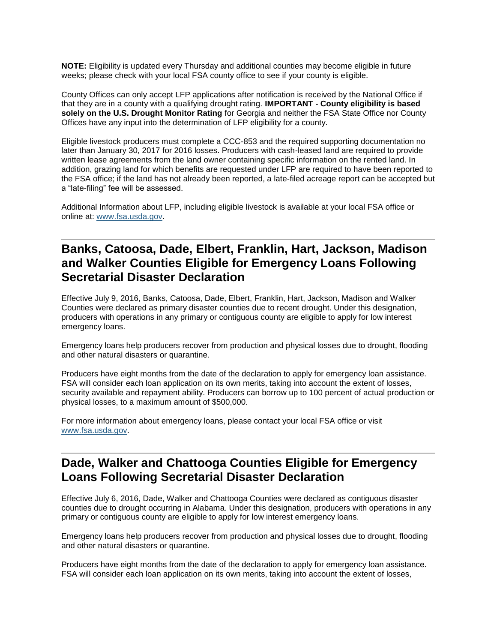**NOTE:** Eligibility is updated every Thursday and additional counties may become eligible in future weeks; please check with your local FSA county office to see if your county is eligible.

County Offices can only accept LFP applications after notification is received by the National Office if that they are in a county with a qualifying drought rating. **IMPORTANT - County eligibility is based solely on the U.S. Drought Monitor Rating** for Georgia and neither the FSA State Office nor County Offices have any input into the determination of LFP eligibility for a county.

Eligible livestock producers must complete a CCC-853 and the required supporting documentation no later than January 30, 2017 for 2016 losses. Producers with cash-leased land are required to provide written lease agreements from the land owner containing specific information on the rented land. In addition, grazing land for which benefits are requested under LFP are required to have been reported to the FSA office; if the land has not already been reported, a late-filed acreage report can be accepted but a "late-filing" fee will be assessed.

Additional Information about LFP, including eligible livestock is available at your local FSA office or online at: [www.fsa.usda.gov.](http://www.fsa.usda.gov/) 

### <span id="page-5-0"></span>**Banks, Catoosa, Dade, Elbert, Franklin, Hart, Jackson, Madison and Walker Counties Eligible for Emergency Loans Following Secretarial Disaster Declaration**

Effective July 9, 2016, Banks, Catoosa, Dade, Elbert, Franklin, Hart, Jackson, Madison and Walker Counties were declared as primary disaster counties due to recent drought. Under this designation, producers with operations in any primary or contiguous county are eligible to apply for low interest emergency loans.

Emergency loans help producers recover from production and physical losses due to drought, flooding and other natural disasters or quarantine.

Producers have eight months from the date of the declaration to apply for emergency loan assistance. FSA will consider each loan application on its own merits, taking into account the extent of losses, security available and repayment ability. Producers can borrow up to 100 percent of actual production or physical losses, to a maximum amount of \$500,000.

For more information about emergency loans, please contact your local FSA office or visit [www.fsa.usda.gov.](http://www.fsa.usda.gov/)

#### <span id="page-5-1"></span>**Dade, Walker and Chattooga Counties Eligible for Emergency Loans Following Secretarial Disaster Declaration**

Effective July 6, 2016, Dade, Walker and Chattooga Counties were declared as contiguous disaster counties due to drought occurring in Alabama. Under this designation, producers with operations in any primary or contiguous county are eligible to apply for low interest emergency loans.

Emergency loans help producers recover from production and physical losses due to drought, flooding and other natural disasters or quarantine.

Producers have eight months from the date of the declaration to apply for emergency loan assistance. FSA will consider each loan application on its own merits, taking into account the extent of losses,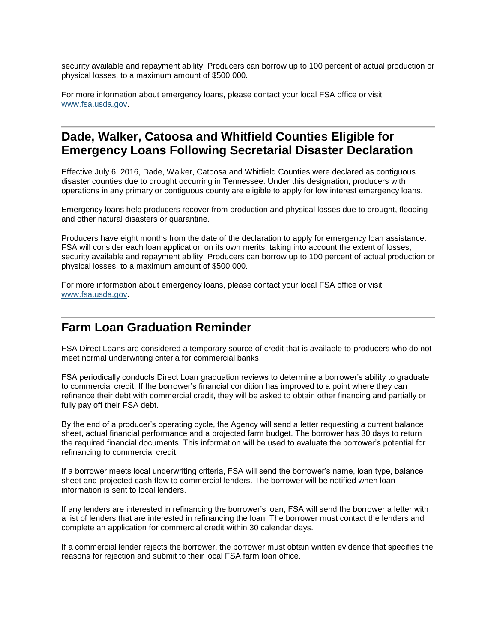security available and repayment ability. Producers can borrow up to 100 percent of actual production or physical losses, to a maximum amount of \$500,000.

For more information about emergency loans, please contact your local FSA office or visit [www.fsa.usda.gov.](http://www.fsa.usda.gov/)

#### <span id="page-6-0"></span>**Dade, Walker, Catoosa and Whitfield Counties Eligible for Emergency Loans Following Secretarial Disaster Declaration**

Effective July 6, 2016, Dade, Walker, Catoosa and Whitfield Counties were declared as contiguous disaster counties due to drought occurring in Tennessee. Under this designation, producers with operations in any primary or contiguous county are eligible to apply for low interest emergency loans.

Emergency loans help producers recover from production and physical losses due to drought, flooding and other natural disasters or quarantine.

Producers have eight months from the date of the declaration to apply for emergency loan assistance. FSA will consider each loan application on its own merits, taking into account the extent of losses, security available and repayment ability. Producers can borrow up to 100 percent of actual production or physical losses, to a maximum amount of \$500,000.

For more information about emergency loans, please contact your local FSA office or visit [www.fsa.usda.gov.](http://www.fsa.usda.gov/)

#### <span id="page-6-1"></span>**Farm Loan Graduation Reminder**

FSA Direct Loans are considered a temporary source of credit that is available to producers who do not meet normal underwriting criteria for commercial banks.

FSA periodically conducts Direct Loan graduation reviews to determine a borrower's ability to graduate to commercial credit. If the borrower's financial condition has improved to a point where they can refinance their debt with commercial credit, they will be asked to obtain other financing and partially or fully pay off their FSA debt.

By the end of a producer's operating cycle, the Agency will send a letter requesting a current balance sheet, actual financial performance and a projected farm budget. The borrower has 30 days to return the required financial documents. This information will be used to evaluate the borrower's potential for refinancing to commercial credit.

If a borrower meets local underwriting criteria, FSA will send the borrower's name, loan type, balance sheet and projected cash flow to commercial lenders. The borrower will be notified when loan information is sent to local lenders.

If any lenders are interested in refinancing the borrower's loan, FSA will send the borrower a letter with a list of lenders that are interested in refinancing the loan. The borrower must contact the lenders and complete an application for commercial credit within 30 calendar days.

If a commercial lender rejects the borrower, the borrower must obtain written evidence that specifies the reasons for rejection and submit to their local FSA farm loan office.